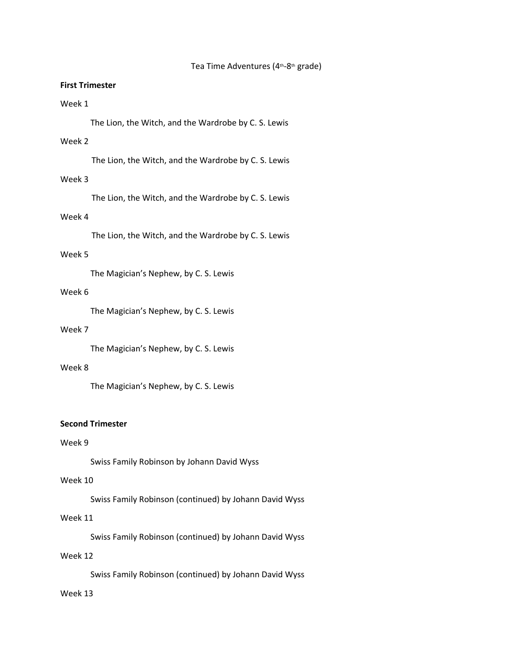#### Tea Time Adventures (4<sup>th</sup>-8<sup>th</sup> grade)

### **First Trimester**

### Week 1

The Lion, the Witch, and the Wardrobe by C. S. Lewis

### Week 2

The Lion, the Witch, and the Wardrobe by C. S. Lewis

## Week 3

The Lion, the Witch, and the Wardrobe by C. S. Lewis

## Week 4

The Lion, the Witch, and the Wardrobe by C. S. Lewis

### Week 5

The Magician's Nephew, by C. S. Lewis

#### Week 6

The Magician's Nephew, by C. S. Lewis

#### Week 7

The Magician's Nephew, by C. S. Lewis

#### Week 8

The Magician's Nephew, by C. S. Lewis

### **Second Trimester**

### Week 9

Swiss Family Robinson by Johann David Wyss

### Week 10

Swiss Family Robinson (continued) by Johann David Wyss

# Week 11

Swiss Family Robinson (continued) by Johann David Wyss

### Week 12

Swiss Family Robinson (continued) by Johann David Wyss

## Week 13